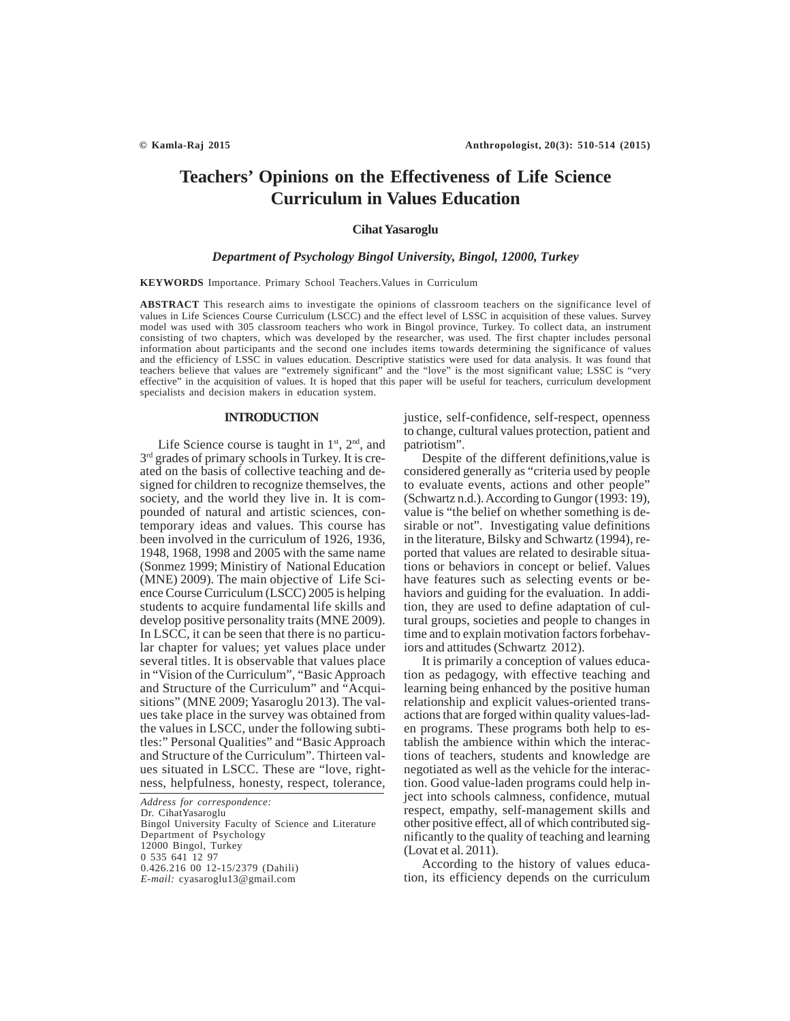# **Teachers' Opinions on the Effectiveness of Life Science Curriculum in Values Education**

# **Cihat Yasaroglu**

# *Department of Psychology Bingol University, Bingol, 12000, Turkey*

**KEYWORDS** Importance. Primary School Teachers.Values in Curriculum

**ABSTRACT** This research aims to investigate the opinions of classroom teachers on the significance level of values in Life Sciences Course Curriculum (LSCC) and the effect level of LSSC in acquisition of these values. Survey model was used with 305 classroom teachers who work in Bingol province, Turkey. To collect data, an instrument consisting of two chapters, which was developed by the researcher, was used. The first chapter includes personal information about participants and the second one includes items towards determining the significance of values and the efficiency of LSSC in values education. Descriptive statistics were used for data analysis. It was found that teachers believe that values are "extremely significant" and the "love" is the most significant value; LSSC is "very effective" in the acquisition of values. It is hoped that this paper will be useful for teachers, curriculum development specialists and decision makers in education system.

#### **INTRODUCTION**

Life Science course is taught in  $1<sup>st</sup>$ ,  $2<sup>nd</sup>$ , and  $3<sup>rd</sup>$  grades of primary schools in Turkey. It is created on the basis of collective teaching and designed for children to recognize themselves, the society, and the world they live in. It is compounded of natural and artistic sciences, contemporary ideas and values. This course has been involved in the curriculum of 1926, 1936, 1948, 1968, 1998 and 2005 with the same name (Sonmez 1999; Ministiry of National Education (MNE) 2009). The main objective of Life Science Course Curriculum (LSCC) 2005 is helping students to acquire fundamental life skills and develop positive personality traits (MNE 2009). In LSCC, it can be seen that there is no particular chapter for values; yet values place under several titles. It is observable that values place in "Vision of the Curriculum", "Basic Approach and Structure of the Curriculum" and "Acquisitions" (MNE 2009; Yasaroglu 2013). The values take place in the survey was obtained from the values in LSCC, under the following subtitles:" Personal Qualities" and "Basic Approach and Structure of the Curriculum". Thirteen values situated in LSCC. These are "love, rightness, helpfulness, honesty, respect, tolerance,

*Address for correspondence:* Dr. CihatYasaroglu Bingol University Faculty of Science and Literature Department of Psychology 12000 Bingol, Turkey 0 535 641 12 97 0.426.216 00 12-15/2379 (Dahili) *E-mail:* cyasaroglu13@gmail.com

justice, self-confidence, self-respect, openness to change, cultural values protection, patient and patriotism".

Despite of the different definitions,value is considered generally as "criteria used by people to evaluate events, actions and other people" (Schwartz n.d.). According to Gungor  $(1993:19)$ , value is "the belief on whether something is desirable or not". Investigating value definitions in the literature, Bilsky and Schwartz (1994), reported that values are related to desirable situations or behaviors in concept or belief. Values have features such as selecting events or behaviors and guiding for the evaluation. In addition, they are used to define adaptation of cultural groups, societies and people to changes in time and to explain motivation factors forbehaviors and attitudes (Schwartz 2012).

It is primarily a conception of values education as pedagogy, with effective teaching and learning being enhanced by the positive human relationship and explicit values-oriented transactions that are forged within quality values-laden programs. These programs both help to establish the ambience within which the interactions of teachers, students and knowledge are negotiated as well as the vehicle for the interaction. Good value-laden programs could help inject into schools calmness, confidence, mutual respect, empathy, self-management skills and other positive effect, all of which contributed significantly to the quality of teaching and learning (Lovat et al. 2011).

According to the history of values education, its efficiency depends on the curriculum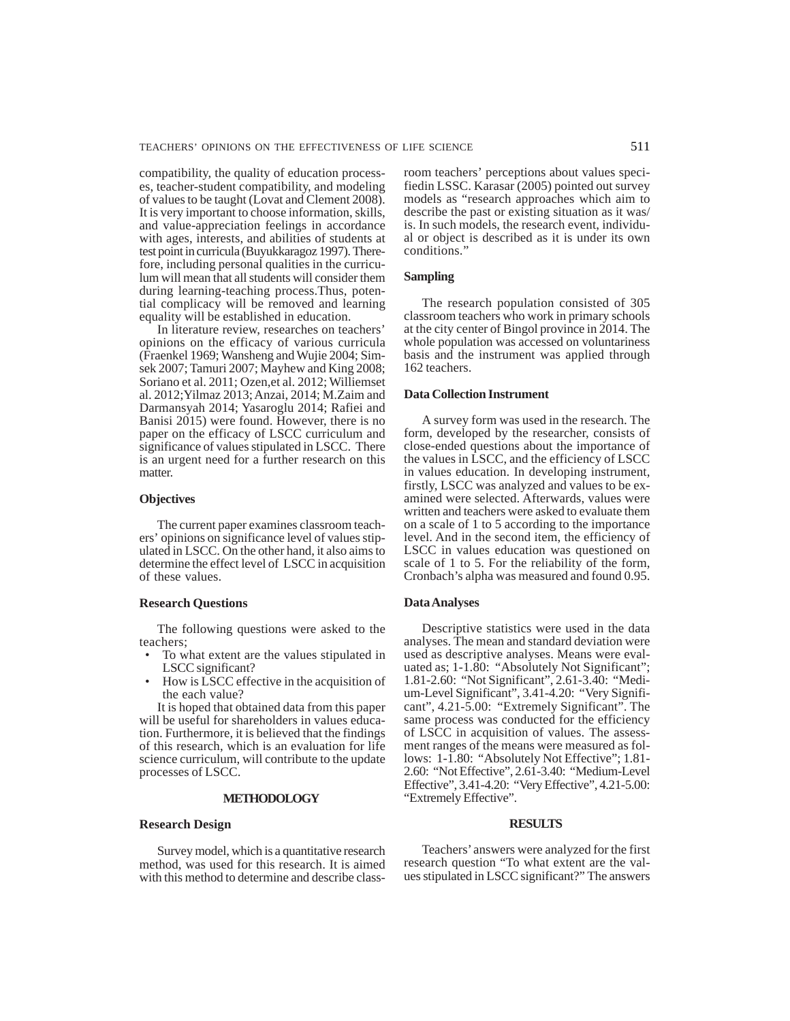compatibility, the quality of education processes, teacher-student compatibility, and modeling of values to be taught (Lovat and Clement 2008). It is very important to choose information, skills, and value-appreciation feelings in accordance with ages, interests, and abilities of students at test point in curricula (Buyukkaragoz 1997). Therefore, including personal qualities in the curriculum will mean that all students will consider them during learning-teaching process.Thus, potential complicacy will be removed and learning equality will be established in education.

In literature review, researches on teachers' opinions on the efficacy of various curricula (Fraenkel 1969; Wansheng and Wujie 2004; Simsek 2007; Tamuri 2007; Mayhew and King 2008; Soriano et al. 2011; Ozen,et al. 2012; Williemset al. 2012;Yilmaz 2013; Anzai, 2014; M.Zaim and Darmansyah 2014; Yasaroglu 2014; Rafiei and Banisi 2015) were found. However, there is no paper on the efficacy of LSCC curriculum and significance of values stipulated in LSCC. There is an urgent need for a further research on this matter.

## **Objectives**

The current paper examines classroom teachers' opinions on significance level of values stipulated in LSCC. On the other hand, it also aims to determine the effect level of LSCC in acquisition of these values.

# **Research Questions**

The following questions were asked to the teachers;

- To what extent are the values stipulated in LSCC significant?
- How is LSCC effective in the acquisition of the each value?

It is hoped that obtained data from this paper will be useful for shareholders in values education. Furthermore, it is believed that the findings of this research, which is an evaluation for life science curriculum, will contribute to the update processes of LSCC.

#### **METHODOLOGY**

# **Research Design**

Survey model, which is a quantitative research method, was used for this research. It is aimed with this method to determine and describe classroom teachers' perceptions about values specifiedin LSSC. Karasar (2005) pointed out survey models as "research approaches which aim to describe the past or existing situation as it was/ is. In such models, the research event, individual or object is described as it is under its own conditions."

## **Sampling**

The research population consisted of 305 classroom teachers who work in primary schools at the city center of Bingol province in 2014. The whole population was accessed on voluntariness basis and the instrument was applied through 162 teachers.

#### **Data Collection Instrument**

A survey form was used in the research. The form, developed by the researcher, consists of close-ended questions about the importance of the values in LSCC, and the efficiency of LSCC in values education. In developing instrument, firstly, LSCC was analyzed and values to be examined were selected. Afterwards, values were written and teachers were asked to evaluate them on a scale of 1 to 5 according to the importance level. And in the second item, the efficiency of LSCC in values education was questioned on scale of 1 to 5. For the reliability of the form, Cronbach's alpha was measured and found 0.95.

# **Data Analyses**

Descriptive statistics were used in the data analyses. The mean and standard deviation were used as descriptive analyses. Means were evaluated as; 1-1.80: "Absolutely Not Significant"; 1.81-2.60: "Not Significant", 2.61-3.40: "Medium-Level Significant", 3.41-4.20: "Very Significant", 4.21-5.00: "Extremely Significant". The same process was conducted for the efficiency of LSCC in acquisition of values. The assessment ranges of the means were measured as follows: 1-1.80: "Absolutely Not Effective"; 1.81- 2.60: "Not Effective", 2.61-3.40: "Medium-Level Effective", 3.41-4.20: "Very Effective", 4.21-5.00: "Extremely Effective".

#### **RESULTS**

Teachers' answers were analyzed for the first research question "To what extent are the values stipulated in LSCC significant?" The answers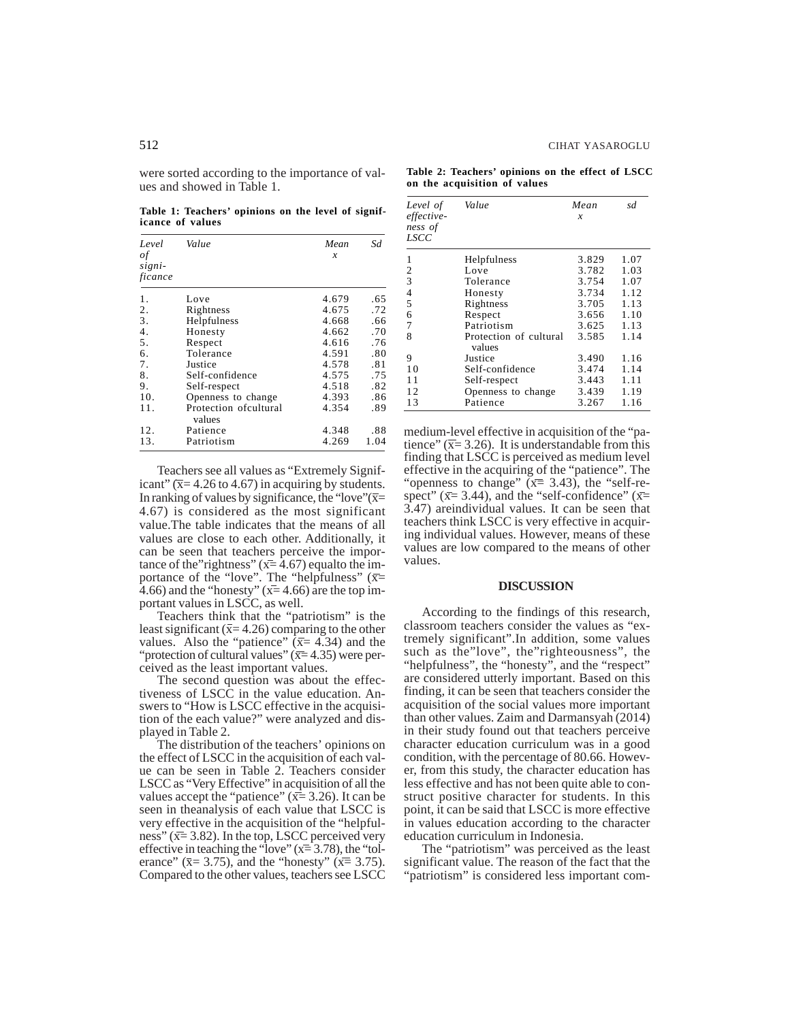**Table 1: Teachers' opinions on the level of significance of values**

| Level<br>οf       | Value                            | Mean<br>x | Sd   |
|-------------------|----------------------------------|-----------|------|
| signi-<br>ficance |                                  |           |      |
| 1.                | Love                             | 4.679     | .65  |
| 2.                | Rightness                        | 4.675     | .72  |
| 3.                | Helpfulness                      | 4.668     | .66  |
| 4.                | Honesty                          | 4.662     | .70  |
| 5.                | Respect                          | 4.616     | .76  |
| 6.                | Tolerance                        | 4.591     | .80  |
| 7.                | Justice                          | 4.578     | .81  |
| 8.                | Self-confidence                  | 4.575     | .75  |
| 9.                | Self-respect                     | 4.518     | .82  |
| 10.               | Openness to change               | 4.393     | .86  |
| 11.               | Protection of cultural<br>values | 4.354     | .89  |
| 12.               | Patience                         | 4.348     | .88  |
| 13.               | Patriotism                       | 4.269     | 1.04 |

Teachers see all values as "Extremely Significant" ( $\bar{x}$ = 4.26 to 4.67) in acquiring by students. In ranking of values by significance, the "love" $(\bar{x}=$ 4.67) is considered as the most significant value.The table indicates that the means of all values are close to each other. Additionally, it can be seen that teachers perceive the importance of the "rightness" ( $x=$  4.67) equalto the importance of the "love". The "helpfulness" ( $\bar{x}$ = 4.66) and the "honesty"  $(\bar{x}=4.66)$  are the top important values in LSCC, as well.

Teachers think that the "patriotism" is the least significant ( $\bar{x}$ = 4.26) comparing to the other values. Also the "patience" ( $\bar{x}$ = 4.34) and the "protection of cultural values" ( $\overline{x}$ =4.35) were perceived as the least important values.

The second question was about the effectiveness of LSCC in the value education. Answers to "How is LSCC effective in the acquisition of the each value?" were analyzed and displayed in Table 2.

The distribution of the teachers' opinions on the effect of LSCC in the acquisition of each value can be seen in Table 2. Teachers consider LSCC as "Very Effective" in acquisition of all the values accept the "patience" ( $x=3.26$ ). It can be seen in theanalysis of each value that LSCC is very effective in the acquisition of the "helpfulness" ( $\bar{x}$ = 3.82). In the top, LSCC perceived very effective in teaching the "love"  $(x=3.78)$ , the "tolerance" ( $\bar{x}$ = 3.75), and the "honesty" ( $\bar{x}$ = 3.75). Compared to the other values, teachers see LSCC

**Table 2: Teachers' opinions on the effect of LSCC on the acquisition of values**

| Level of<br>effective-<br>ness of<br>LSCC | Value                            | Mean<br>$\mathcal{X}$ | sd   |
|-------------------------------------------|----------------------------------|-----------------------|------|
| 1                                         |                                  | 3.829                 | 1.07 |
| 2                                         | Helpfulness<br>Love              | 3.782                 | 1.03 |
| 3                                         | Tolerance                        | 3.754                 | 1.07 |
|                                           |                                  | 3.734                 | 1.12 |
| 4                                         | Honesty                          |                       |      |
| 5                                         | Rightness                        | 3.705                 | 1.13 |
| 6                                         | Respect                          | 3.656                 | 1.10 |
| 7                                         | Patriotism                       | 3.625                 | 1.13 |
| 8                                         | Protection of cultural<br>values | 3.585                 | 1.14 |
| 9                                         | Justice                          | 3.490                 | 1.16 |
| 10                                        | Self-confidence                  | 3.474                 | 1.14 |
| 11                                        | Self-respect                     | 3.443                 | 1.11 |
| 12.                                       | Openness to change               | 3.439                 | 1.19 |
| 13                                        | Patience                         | 3.267                 | 1.16 |

medium-level effective in acquisition of the "patience" ( $\bar{x}$ = 3.26). It is understandable from this finding that LSCC is perceived as medium level effective in the acquiring of the "patience". The "openness to change"  $(\bar{x} = 3.43)$ , the "self-respect" ( $\bar{x}$ = 3.44), and the "self-confidence" ( $\bar{x}$ = 3.47) areindividual values. It can be seen that teachers think LSCC is very effective in acquiring individual values. However, means of these values are low compared to the means of other values.

# **DISCUSSION**

According to the findings of this research, classroom teachers consider the values as "extremely significant".In addition, some values such as the"love", the"righteousness", the "helpfulness", the "honesty", and the "respect" are considered utterly important. Based on this finding, it can be seen that teachers consider the acquisition of the social values more important than other values. Zaim and Darmansyah (2014) in their study found out that teachers perceive character education curriculum was in a good condition, with the percentage of 80.66. However, from this study, the character education has less effective and has not been quite able to construct positive character for students. In this point, it can be said that LSCC is more effective in values education according to the character education curriculum in Indonesia.

The "patriotism" was perceived as the least significant value. The reason of the fact that the "patriotism" is considered less important com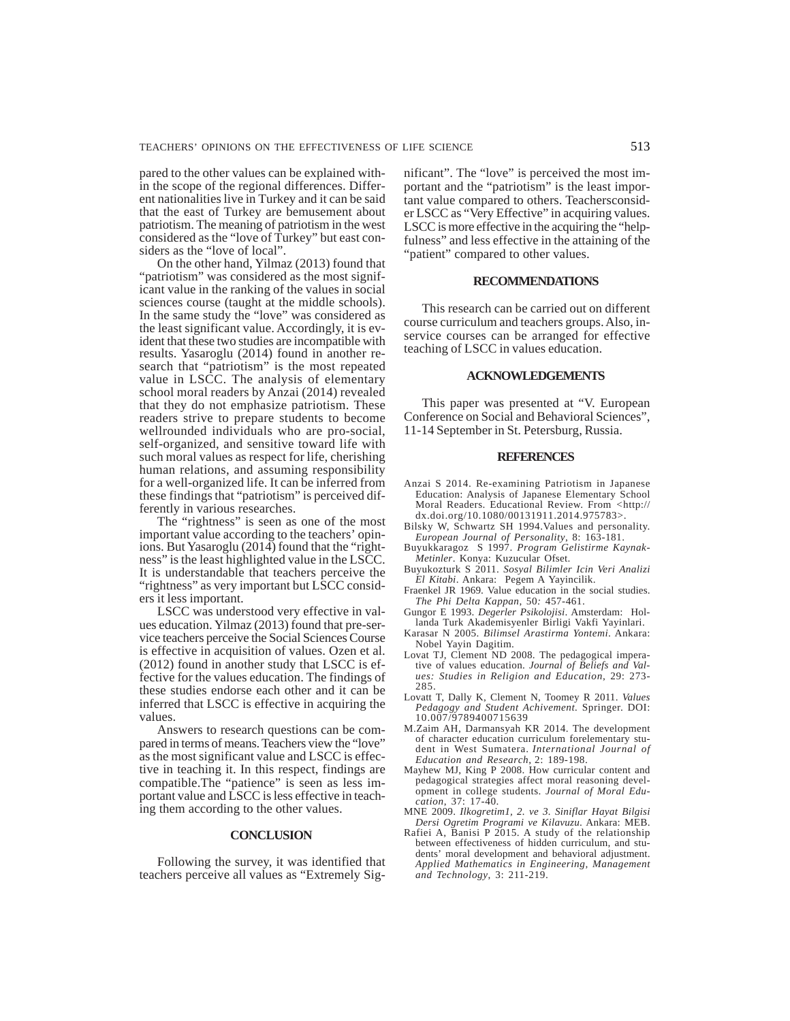pared to the other values can be explained within the scope of the regional differences. Different nationalities live in Turkey and it can be said that the east of Turkey are bemusement about patriotism. The meaning of patriotism in the west considered as the "love of Turkey" but east considers as the "love of local".

On the other hand, Yilmaz (2013) found that "patriotism" was considered as the most significant value in the ranking of the values in social sciences course (taught at the middle schools). In the same study the "love" was considered as the least significant value. Accordingly, it is evident that these two studies are incompatible with results. Yasaroglu (2014) found in another research that "patriotism" is the most repeated value in LSCC. The analysis of elementary school moral readers by Anzai (2014) revealed that they do not emphasize patriotism. These readers strive to prepare students to become wellrounded individuals who are pro-social, self-organized, and sensitive toward life with such moral values as respect for life, cherishing human relations, and assuming responsibility for a well-organized life. It can be inferred from these findings that "patriotism" is perceived differently in various researches.

The "rightness" is seen as one of the most important value according to the teachers' opinions. But Yasaroglu (2014) found that the "rightness" is the least highlighted value in the LSCC. It is understandable that teachers perceive the "rightness" as very important but LSCC considers it less important.

LSCC was understood very effective in values education. Yilmaz (2013) found that pre-service teachers perceive the Social Sciences Course is effective in acquisition of values. Ozen et al. (2012) found in another study that LSCC is effective for the values education. The findings of these studies endorse each other and it can be inferred that LSCC is effective in acquiring the values.

Answers to research questions can be compared in terms of means. Teachers view the "love" as the most significant value and LSCC is effective in teaching it. In this respect, findings are compatible.The "patience" is seen as less important value and LSCC is less effective in teaching them according to the other values.

# **CONCLUSION**

Following the survey, it was identified that teachers perceive all values as "Extremely Significant". The "love" is perceived the most important and the "patriotism" is the least important value compared to others. Teachersconsider LSCC as "Very Effective" in acquiring values. LSCC is more effective in the acquiring the "helpfulness" and less effective in the attaining of the "patient" compared to other values.

#### **RECOMMENDATIONS**

This research can be carried out on different course curriculum and teachers groups. Also, inservice courses can be arranged for effective teaching of LSCC in values education.

### **ACKNOWLEDGEMENTS**

This paper was presented at "V. European Conference on Social and Behavioral Sciences", 11-14 September in St. Petersburg, Russia.

#### **REFERENCES**

- Anzai S 2014. Re-examining Patriotism in Japanese Education: Analysis of Japanese Elementary School Moral Readers. Educational Review. From *<*http:// dx.doi.org/10.1080/00131911.2014.975783>.
- Bilsky W, Schwartz SH 1994.Values and personality. *European Journal of Personality*, 8: 163-181.
- Buyukkaragoz S 1997. *Program Gelistirme Kaynak-Metinler*. Konya: Kuzucular Ofset.
- Buyukozturk S 2011. *Sosyal Bilimler Icin Veri Analizi El Kitabi*. Ankara: Pegem A Yayincilik.
- Fraenkel JR 1969. Value education in the social studies. *The Phi Delta Kappan*, 50*:* 457-461.
- Gungor E 1993. *Degerler Psikolojisi*. Amsterdam: Hollanda Turk Akademisyenler Birligi Vakfi Yayinlari.
- Karasar N 2005. *Bilimsel Arastirma Yontemi*. Ankara: Nobel Yayin Dagitim.
- Lovat TJ, Clement ND 2008. The pedagogical imperative of values education. *Journal of Beliefs and Values: Studies in Religion and Education*, 29: 273- 285.
- Lovatt T, Dally K, Clement N, Toomey R 2011. *Values Pedagogy and Student Achivement.* Springer. DOI: 10.007/9789400715639
- M.Zaim AH, Darmansyah KR 2014. The development of character education curriculum forelementary student in West Sumatera. *International Journal of Education and Research*, 2: 189-198.
- Mayhew MJ, King P 2008. How curricular content and pedagogical strategies affect moral reasoning development in college students. *Journal of Moral Education*, 37: 17-40.
- MNE 2009. *Ilkogretim1, 2. ve 3. Siniflar Hayat Bilgisi Dersi Ogretim Programi ve Kilavuzu*. Ankara: MEB.
- Rafiei A, Banisi P 2015. A study of the relationship between effectiveness of hidden curriculum, and students' moral development and behavioral adjustment. *Applied Mathematics in Engineering, Management and Technology*, 3: 211-219.